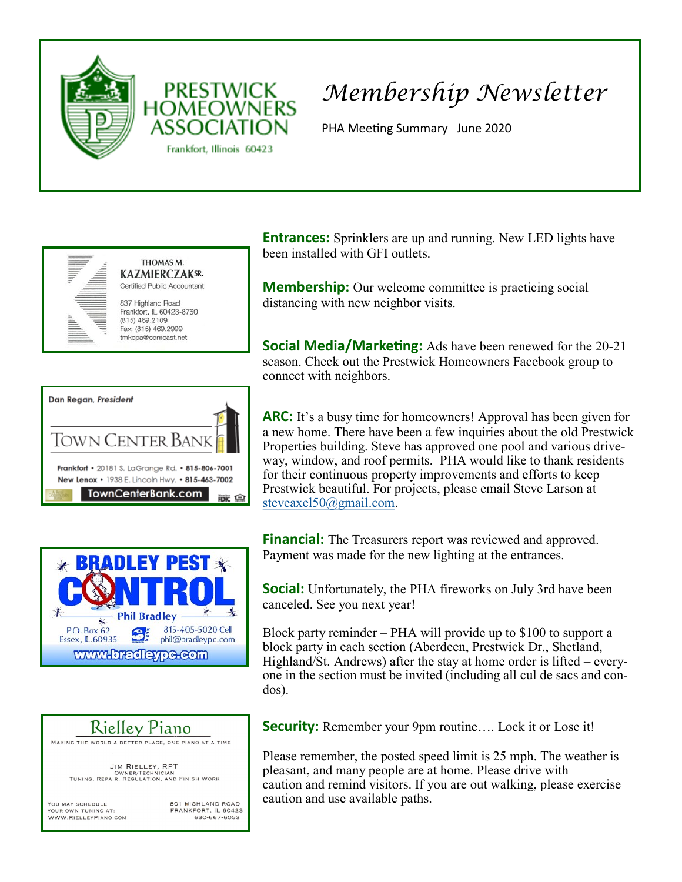

**PRESTWICK** 

Frankfort, Illinois 60423

## *Membership Newsletter*

PHA Meeting Summary June 2020



Dan Regan, President IOWN CENTER BAN Frankfort . 20181 S. LaGrange Rd. . 815-806-7001 New Lenox • 1938 E. Lincoln Hwy. • 815-463-7002 TownCenterBank.com 醉鱼





YOU MAY SCHEDULE YOUR OWN TUNING AT: WWW.RIELLEYPIANO.COM 801 HIGHLAND ROAD FRANKFORT, IL 60423 630-667-6053

**Entrances:** Sprinklers are up and running. New LED lights have been installed with GFI outlets.

**Membership:** Our welcome committee is practicing social distancing with new neighbor visits.

**Social Media/Marketing:** Ads have been renewed for the 20-21 season. Check out the Prestwick Homeowners Facebook group to connect with neighbors.

**ARC:** It's a busy time for homeowners! Approval has been given for a new home. There have been a few inquiries about the old Prestwick Properties building. Steve has approved one pool and various driveway, window, and roof permits. PHA would like to thank residents for their continuous property improvements and efforts to keep Prestwick beautiful. For projects, please email Steve Larson at [steveaxel50@gmail.com.](mailto:steveaxel50@gmail.com)

**Financial:** The Treasurers report was reviewed and approved. Payment was made for the new lighting at the entrances.

**Social:** Unfortunately, the PHA fireworks on July 3rd have been canceled. See you next year!

Block party reminder – PHA will provide up to \$100 to support a block party in each section (Aberdeen, Prestwick Dr., Shetland, Highland/St. Andrews) after the stay at home order is lifted – everyone in the section must be invited (including all cul de sacs and condos).

**Security:** Remember your 9pm routine.... Lock it or Lose it!

Please remember, the posted speed limit is 25 mph. The weather is pleasant, and many people are at home. Please drive with caution and remind visitors. If you are out walking, please exercise caution and use available paths.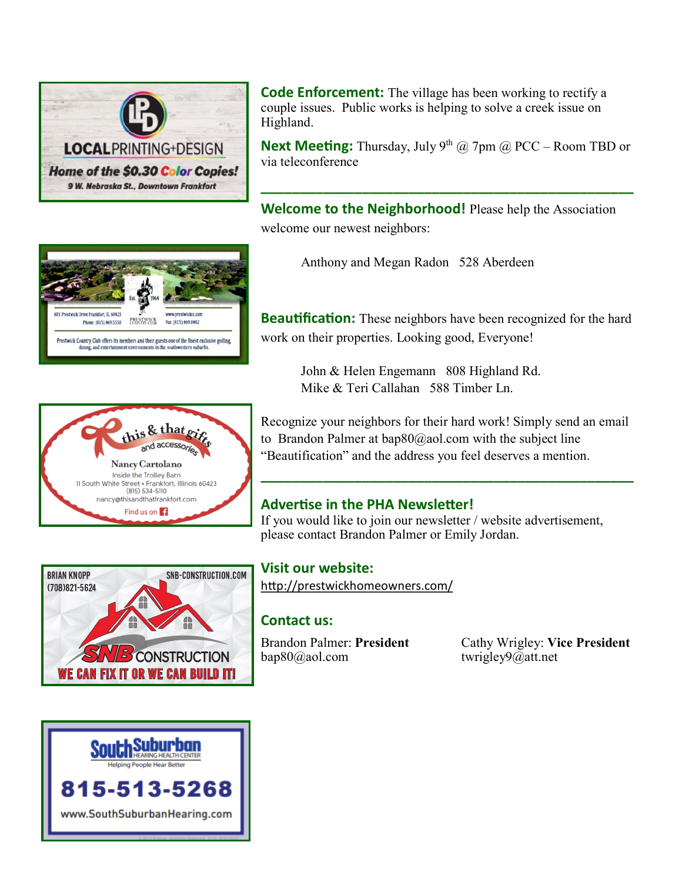

**Code Enforcement:** The village has been working to rectify a couple issues. Public works is helping to solve a creek issue on Highland.

**Next Meeting:** Thursday, July 9<sup>th</sup> @ 7pm @ PCC – Room TBD or via teleconference

**\_\_\_\_\_\_\_\_\_\_\_\_\_\_\_\_\_\_\_\_\_\_\_\_\_\_\_\_\_\_\_\_\_\_\_\_\_\_\_\_\_\_\_\_\_\_\_\_**

**Welcome to the Neighborhood!** Please help the Association welcome our newest neighbors:

Anthony and Megan Radon 528 Aberdeen

**Beautification:** These neighbors have been recognized for the hard work on their properties. Looking good, Everyone!

> John & Helen Engemann 808 Highland Rd. Mike & Teri Callahan 588 Timber Ln.

Recognize your neighbors for their hard work! Simply send an email to Brandon Palmer at  $bap80@aol.com$  with the subject line "Beautification" and the address you feel deserves a mention.

## **Advertise in the PHA Newsletter!**

If you would like to join our newsletter / website advertisement, please contact Brandon Palmer or Emily Jordan.

**Visit our website:**  <http://prestwickhomeowners.com/>

## **Contact us:**

[bap80@aol.com](mailto:bap80@aol.com) twrigley9@att.net

Brandon Palmer: **President** Cathy Wrigley: **Vice President**